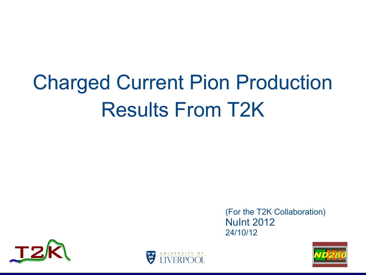# Charged Current Pion Production Results From T2K

(For the T2K Collaboration) NuInt 2012 24/10/12





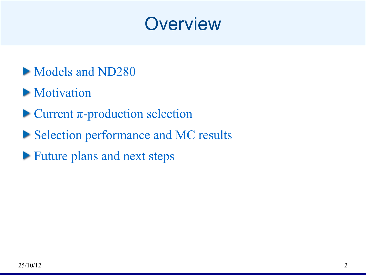#### **Overview**

- Models and ND280
- **Motivation**
- $\blacktriangleright$  Current  $\pi$ -production selection
- Selection performance and MC results
- **Future plans and next steps**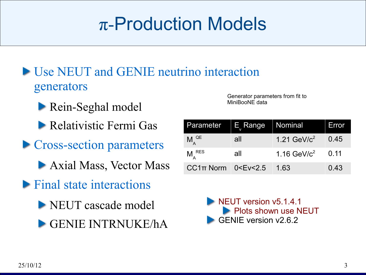# π-Production Models

- **IFFELLE** TUSE NEUT and GENIE neutrino interaction generators
	- **Rein-Seghal model**
	- Relativistic Fermi Gas
- **Cross-section parameters** 
	- Axial Mass, Vector Mass
- $\blacktriangleright$  Final state interactions
	- NEUT cascade model
	- GENIE INTRNUKE/hA

Generator parameters from fit to MiniBooNE data

| Parameter                                                                        | $\parallel$ E $_{_{\rm{v}}}$ Range $\parallel$ | ∣ Nominal       | <b>Error</b> |
|----------------------------------------------------------------------------------|------------------------------------------------|-----------------|--------------|
| $M_{\Lambda}^{QE}$                                                               | all                                            | 1.21 GeV/ $c^2$ | 0.45         |
| $M_{\lambda}^{RES}$                                                              | all                                            | 1.16 GeV/ $c^2$ | 0.11         |
| CC1 $\pi$ Norm 0 <ev 2.5<="" <="" td=""><td></td><td>1.63</td><td>0.43</td></ev> |                                                | 1.63            | 0.43         |

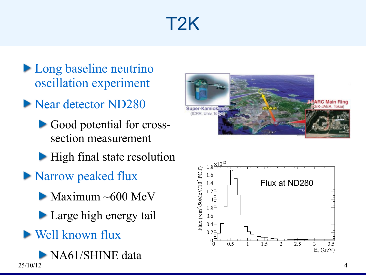# T2K

- **Long baseline neutrino** oscillation experiment
- Near detector ND280
	- Good potential for crosssection measurement
	- **High final state resolution**
- **Narrow peaked flux** 
	- $\blacktriangleright$  Maximum ~600 MeV
	- **Large high energy tail**
- Well known flux





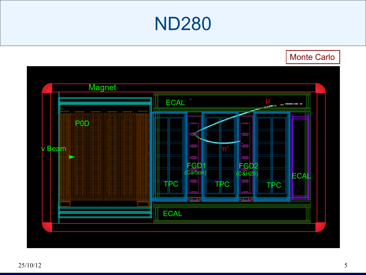#### ND280

Monte Carlo

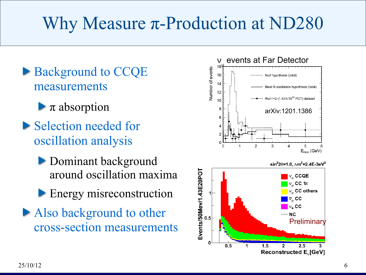# Why Measure π-Production at ND280

- Background to CCQE measurements
	- $\blacktriangleright$   $\pi$  absorption
- **Selection needed for** oscillation analysis
	- **Dominant background** around oscillation maxima
	- **Energy misreconstruction**
- Also background to other cross-section measurements

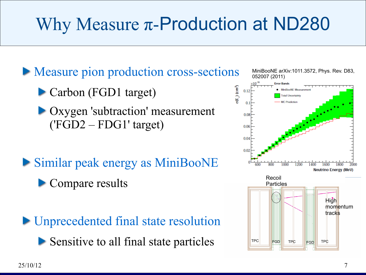# Why Measure π-Production at ND280

**Measure pion production cross-sections** 

▶ Carbon (FGD1 target)

- Oxygen 'subtraction' measurement ('FGD2 – FDG1' target)
- Similar peak energy as MiniBooNE
	- Compare results

**Inprecedented final state resolution** Sensitive to all final state particles



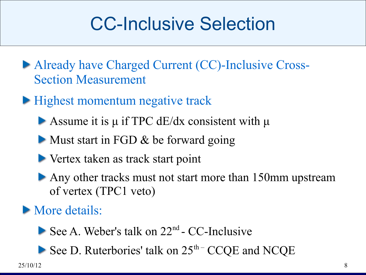# CC-Inclusive Selection

- Already have Charged Current (CC)-Inclusive Cross-Section Measurement
- **Highest momentum negative track** 
	- Assume it is  $\mu$  if TPC dE/dx consistent with  $\mu$
	- Must start in FGD & be forward going
	- Vertex taken as track start point
	- Any other tracks must not start more than 150mm upstream of vertex (TPC1 veto)

**More details:** 

- See A. Weber's talk on  $22<sup>nd</sup>$  CC-Inclusive
- See D. Ruterbories' talk on  $25<sup>th</sup>$  CCQE and NCQE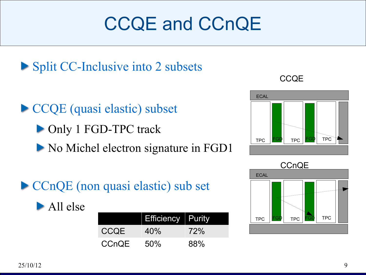# CCQE and CCnQE



CCQE (quasi elastic) subset ▶ Only 1 FGD-TPC track No Michel electron signature in FGD1

CCnQE (non quasi elastic) sub set



|              | <b>Efficiency Purity</b> |            |
|--------------|--------------------------|------------|
| <b>CCQE</b>  | 40%                      | <b>72%</b> |
| <b>CCnQE</b> | 50%                      | 88%        |

**CCQE** 



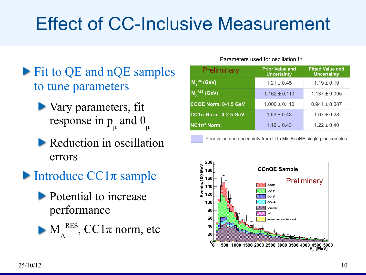# Effect of CC-Inclusive Measurement

- Fit to QE and nQE samples to tune parameters
	- Vary parameters, fit response in p μ and θ μ
	- Reduction in oscillation errors
- Introduce  $CC1\pi$  sample
	- **Potential to increase** performance
	- M A  $RES$ , CC1 $\pi$  norm, etc

#### Parameters used for oscillation fit

| Preliminary                                                                                    | <b>Prior Value and</b><br><b>Uncertainty</b> | <b>Fitted Value and</b><br><b>Uncertainty</b> |
|------------------------------------------------------------------------------------------------|----------------------------------------------|-----------------------------------------------|
| $\mathsf{M}_{\scriptscriptstyle{\mathsf{A}}}^{\scriptscriptstyle{\mathsf{Q}}\mathsf{E}}$ (GeV) | $1.21 \pm 0.45$                              | $1.19 \pm 0.19$                               |
| $M_A^{RES}$ (GeV)                                                                              | $1.162 \pm 0.110$                            | $1.137 \pm 0.095$                             |
| CCQE Norm. 0-1.5 GeV                                                                           | $1.000 \pm 0.110$                            | $0.941 \pm 0.087$                             |
| CC1 $\pi$ Norm. 0-2.5 GeV                                                                      | $1.63 \pm 0.43$                              | $1.67 \pm 0.28$                               |
| $NC1\pi^0$ Norm.                                                                               | $1.19 \pm 0.43$                              | $1.22 \pm 0.40$                               |

Prior value and uncertainty from fit to MiniBooNE single pion samples

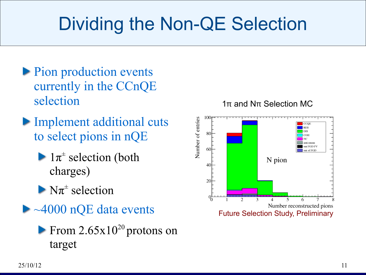# Dividing the Non-QE Selection

- **Pion production events** currently in the CCnQE selection
- **Implement additional cuts** to select pions in nQE
	- $1\pi^{\pm}$  selection (both charges)
	- $N\pi^\pm$  selection
- ► ~4000 nQE data events
	- From  $2.65x10^{20}$  protons on target

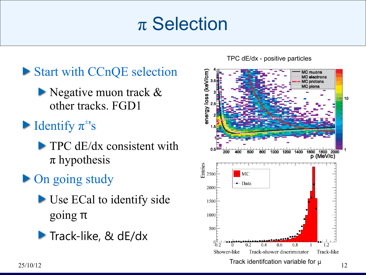# π Selection



- Negative muon track & other tracks. FGD1
- Identify  $\pi^{\pm}$ 's
	- $\blacktriangleright$  TPC dE/dx consistent with  $\pi$  hypothesis

#### • On going study

- Use ECal to identify side going π
- Track-like, & dE/dx

TPC dE/dx - positive particles

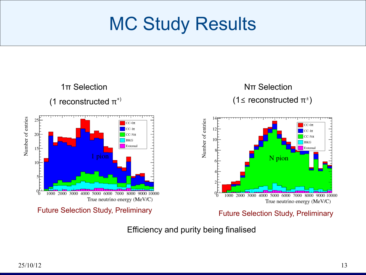# MC Study Results



Efficiency and purity being finalised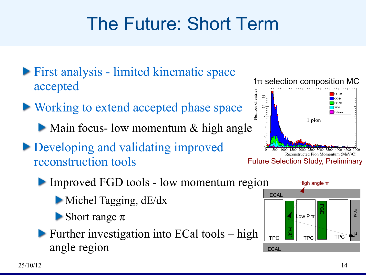# The Future: Short Term

- **First analysis limited kinematic space** accepted
- ▶ Working to extend accepted phase space
	- Main focus- low momentum & high angle
- Developing and validating improved reconstruction tools





Improved FGD tools - low momentum region

- Michel Tagging, dE/dx
- Short range  $\pi$
- **Further investigation into ECal tools high** angle region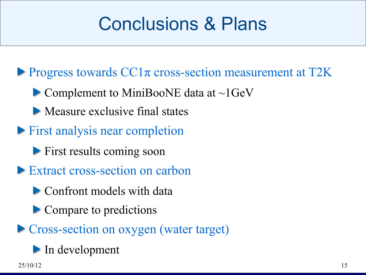# Conclusions & Plans

Progress towards  $CC1\pi$  cross-section measurement at T2K

- $\blacktriangleright$  Complement to MiniBooNE data at ~1GeV
- Measure exclusive final states
- **First analysis near completion** 
	- **First results coming soon**
- Extract cross-section on carbon
	- **Confront models with data**
	- Compare to predictions
- **Cross-section on oxygen (water target)** 
	- In development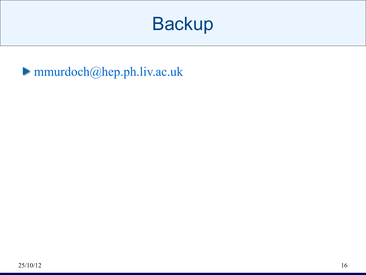### **Backup**

mmurdoch@hep.ph.liv.ac.uk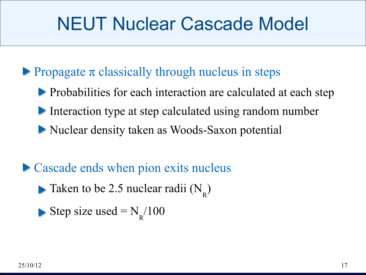# NEUT Nuclear Cascade Model

#### Propagate  $\pi$  classically through nucleus in steps

- **Probabilities for each interaction are calculated at each step**
- Interaction type at step calculated using random number
- Nuclear density taken as Woods-Saxon potential

#### • Cascade ends when pion exits nucleus

- Taken to be 2.5 nuclear radii  $(N_R)$
- Step size used =  $N_R/100$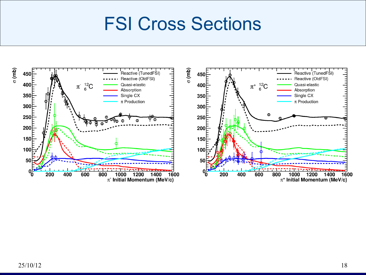#### FSI Cross Sections

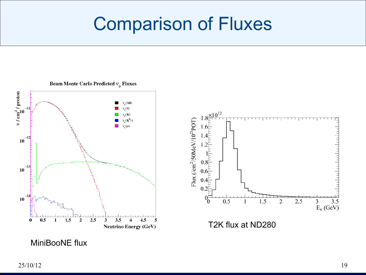# Comparison of Fluxes

Beam Monte Carlo Predicted  $v_\mu$  Fluxes



MiniBooNE flux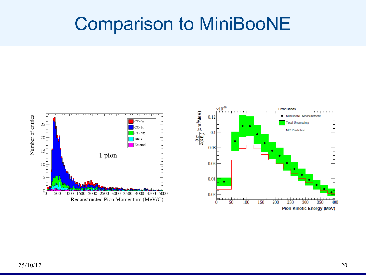#### Comparison to MiniBooNE



Pion Kinetic Energy (MeV)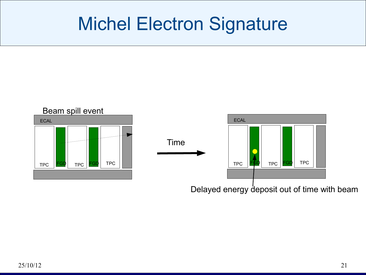## Michel Electron Signature